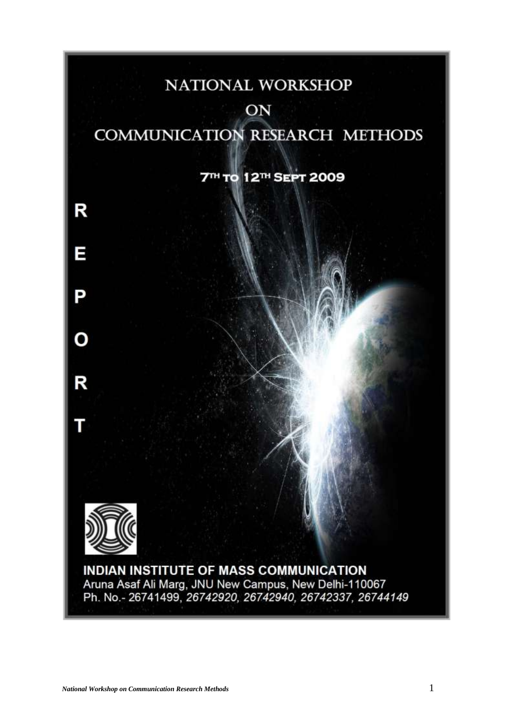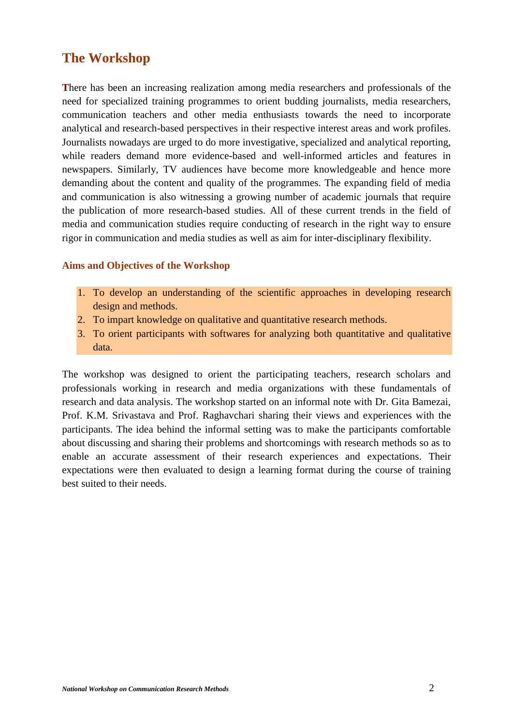# **The Workshop**

**T**here has been an increasing realization among media researchers and professionals of the need for specialized training programmes to orient budding journalists, media researchers, communication teachers and other media enthusiasts towards the need to incorporate analytical and research-based perspectives in their respective interest areas and work profiles. Journalists nowadays are urged to do more investigative, specialized and analytical reporting, while readers demand more evidence-based and well-informed articles and features in newspapers. Similarly, TV audiences have become more knowledgeable and hence more demanding about the content and quality of the programmes. The expanding field of media and communication is also witnessing a growing number of academic journals that require the publication of more research-based studies. All of these current trends in the field of media and communication studies require conducting of research in the right way to ensure rigor in communication and media studies as well as aim for inter-disciplinary flexibility.

### **Aims and Objectives of the Workshop**

- 1. To develop an understanding of the scientific approaches in developing research design and methods.
- 2. To impart knowledge on qualitative and quantitative research methods.
- 3. To orient participants with softwares for analyzing both quantitative and qualitative data.

The workshop was designed to orient the participating teachers, research scholars and professionals working in research and media organizations with these fundamentals of research and data analysis. The workshop started on an informal note with Dr. Gita Bamezai, Prof. K.M. Srivastava and Prof. Raghavchari sharing their views and experiences with the participants. The idea behind the informal setting was to make the participants comfortable about discussing and sharing their problems and shortcomings with research methods so as to enable an accurate assessment of their research experiences and expectations. Their expectations were then evaluated to design a learning format during the course of training best suited to their needs.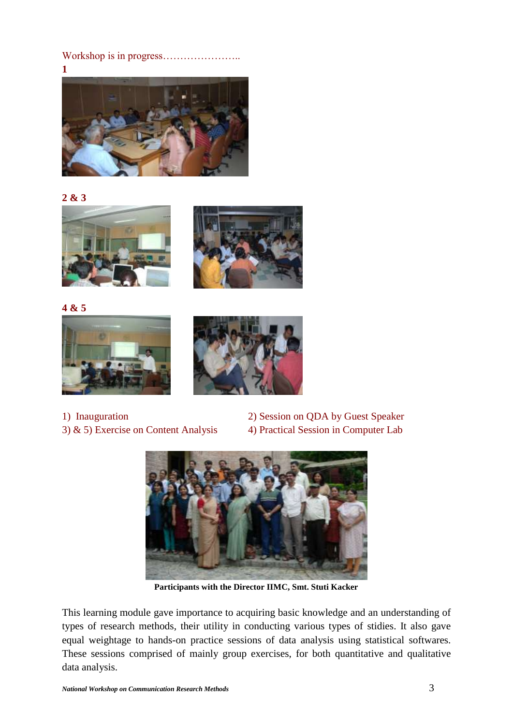Workshop is in progress…………………..



#### **2 & 3**





**4 & 5**





3)  $\&$  5) Exercise on Content Analysis 4) Practical Session in Computer Lab

1) Inauguration 2) Session on QDA by Guest Speaker



**Participants with the Director IIMC, Smt. Stuti Kacker**

This learning module gave importance to acquiring basic knowledge and an understanding of types of research methods, their utility in conducting various types of stidies. It also gave equal weightage to hands-on practice sessions of data analysis using statistical softwares. These sessions comprised of mainly group exercises, for both quantitative and qualitative data analysis.